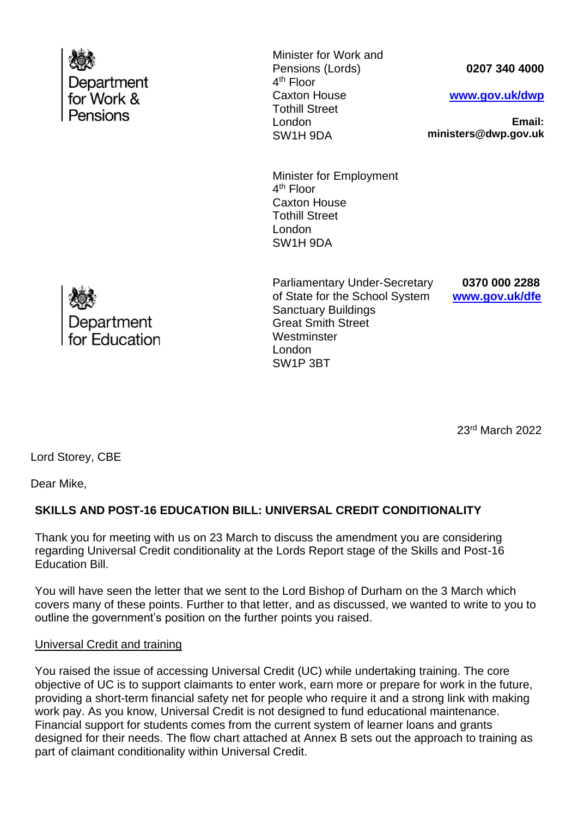| Department<br>for Work &<br>Pensions | Minister for Work and<br>Pensions (Lords)<br>4 <sup>th</sup> Floor<br><b>Caxton House</b><br><b>Tothill Street</b><br>London<br>SW1H 9DA | 0207 340 4000<br>www.gov.uk/dwp<br>Email:<br>ministers@dwp.gov.uk |
|--------------------------------------|------------------------------------------------------------------------------------------------------------------------------------------|-------------------------------------------------------------------|
|                                      | Minister for Employment<br>4 <sup>th</sup> Floor<br><b>Caxton House</b><br><b>Tothill Street</b><br>London<br>SW1H 9DA                   |                                                                   |
| Department                           | <b>Parliamentary Under-Secretary</b><br>of State for the School System<br><b>Sanctuary Buildings</b><br><b>Great Smith Street</b>        | 0370 000 2288<br>www.gov.uk/dfe                                   |

**Westminster** London SW1P 3BT

<u>23 and 23 and 23 and 23 and 23 and 23 and 23 and 23 and 23 and 23 and 23 and 23 and 23 and 23 and 23 and 23 and 23 and 23 and 23 and 23 and 23 and 23 and 23 and 23 and 23 and 23 and 23 and 23 and 23 and 23 and 23 and 23 a</u> 23rd March 2022

Lord Storey, CBE

for Education

Dear Mike,

## **SKILLS AND POST-16 EDUCATION BILL: UNIVERSAL CREDIT CONDITIONALITY**

Thank you for meeting with us on 23 March to discuss the amendment you are considering regarding Universal Credit conditionality at the Lords Report stage of the Skills and Post-16 Education Bill.

You will have seen the letter that we sent to the Lord Bishop of Durham on the 3 March which covers many of these points. Further to that letter, and as discussed, we wanted to write to you to outline the government's position on the further points you raised.

### Universal Credit and training

You raised the issue of accessing Universal Credit (UC) while undertaking training. The core objective of UC is to support claimants to enter work, earn more or prepare for work in the future, providing a short-term financial safety net for people who require it and a strong link with making work pay. As you know, Universal Credit is not designed to fund educational maintenance. Financial support for students comes from the current system of learner loans and grants designed for their needs. The flow chart attached at Annex B sets out the approach to training as part of claimant conditionality within Universal Credit.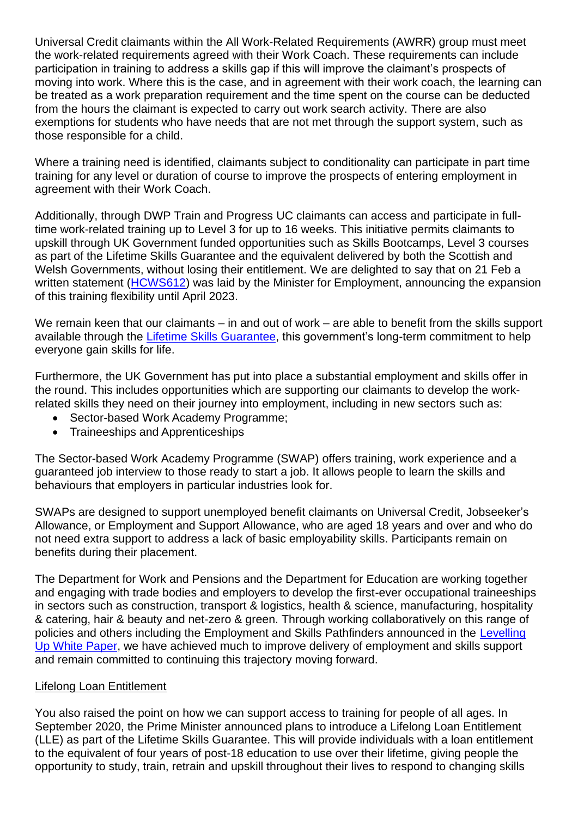Universal Credit claimants within the All Work-Related Requirements (AWRR) group must meet the work-related requirements agreed with their Work Coach. These requirements can include participation in training to address a skills gap if this will improve the claimant's prospects of moving into work. Where this is the case, and in agreement with their work coach, the learning can be treated as a work preparation requirement and the time spent on the course can be deducted from the hours the claimant is expected to carry out work search activity. There are also exemptions for students who have needs that are not met through the support system, such as those responsible for a child.

Where a training need is identified, claimants subject to conditionality can participate in part time training for any level or duration of course to improve the prospects of entering employment in agreement with their Work Coach.

Additionally, through DWP Train and Progress UC claimants can access and participate in fulltime work-related training up to Level 3 for up to 16 weeks. This initiative permits claimants to upskill through UK Government funded opportunities such as Skills Bootcamps, Level 3 courses as part of the Lifetime Skills Guarantee and the equivalent delivered by both the Scottish and Welsh Governments, without losing their entitlement. We are delighted to say that on 21 Feb a written statement [\(HCWS612\)](https://questions-statements.parliament.uk/written-statements/detail/2022-02-21/hcws612) was laid by the Minister for Employment, announcing the expansion of this training flexibility until April 2023.

We remain keen that our claimants – in and out of work – are able to benefit from the skills support available through the [Lifetime Skills Guarantee,](https://www.gov.uk/government/news/hundreds-of-free-qualifications-on-offer-to-boost-skills-and-jobs) this government's long-term commitment to help everyone gain skills for life.

Furthermore, the UK Government has put into place a substantial employment and skills offer in the round. This includes opportunities which are supporting our claimants to develop the workrelated skills they need on their journey into employment, including in new sectors such as:

- Sector-based Work Academy Programme;
- Traineeships and Apprenticeships

The Sector-based Work Academy Programme (SWAP) offers training, work experience and a guaranteed job interview to those ready to start a job. It allows people to learn the skills and behaviours that employers in particular industries look for.

SWAPs are designed to support unemployed benefit claimants on Universal Credit, Jobseeker's Allowance, or Employment and Support Allowance, who are aged 18 years and over and who do not need extra support to address a lack of basic employability skills. Participants remain on benefits during their placement.

The Department for Work and Pensions and the Department for Education are working together and engaging with trade bodies and employers to develop the first-ever occupational traineeships in sectors such as construction, transport & logistics, health & science, manufacturing, hospitality & catering, hair & beauty and net-zero & green. Through working collaboratively on this range of policies and others including the Employment and Skills Pathfinders announced in the [Levelling](https://www.gov.uk/government/publications/levelling-up-the-united-kingdom)  [Up White Paper,](https://www.gov.uk/government/publications/levelling-up-the-united-kingdom) we have achieved much to improve delivery of employment and skills support and remain committed to continuing this trajectory moving forward.

### Lifelong Loan Entitlement

You also raised the point on how we can support access to training for people of all ages. In September 2020, the Prime Minister announced plans to introduce a Lifelong Loan Entitlement (LLE) as part of the Lifetime Skills Guarantee. This will provide individuals with a loan entitlement to the equivalent of four years of post-18 education to use over their lifetime, giving people the opportunity to study, train, retrain and upskill throughout their lives to respond to changing skills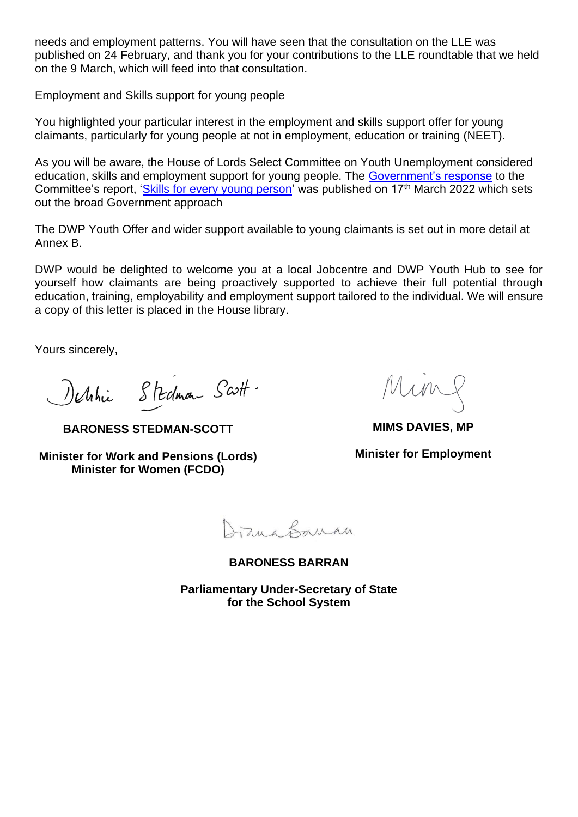needs and employment patterns. You will have seen that the consultation on the LLE was published on 24 February, and thank you for your contributions to the LLE roundtable that we held on the 9 March, which will feed into that consultation.

#### Employment and Skills support for young people

You highlighted your particular interest in the employment and skills support offer for young claimants, particularly for young people at not in employment, education or training (NEET).

As you will be aware, the House of Lords Select Committee on Youth Unemployment considered education, skills and employment support for young people. The [Government's response](https://committees.parliament.uk/publications/9336/documents/160637/default/) to the Committee's report, ['Skills for every young person'](https://publications.parliament.uk/pa/ld5802/ldselect/ldythunemp/98/9802.htm) was published on 17th March 2022 which sets out the broad Government approach

The DWP Youth Offer and wider support available to young claimants is set out in more detail at Annex B.

DWP would be delighted to welcome you at a local Jobcentre and DWP Youth Hub to see for yourself how claimants are being proactively supported to achieve their full potential through education, training, employability and employment support tailored to the individual. We will ensure a copy of this letter is placed in the House library.

Yours sincerely,

Nethin Stedman Scott.

**BARONESS STEDMAN-SCOTT**

**Minister for Work and Pensions (Lords) Minister for Women (FCDO)**

**MIMS DAVIES, MP**

**Minister for Employment**

Jana Banan

**BARONESS BARRAN**

**Parliamentary Under-Secretary of State for the School System**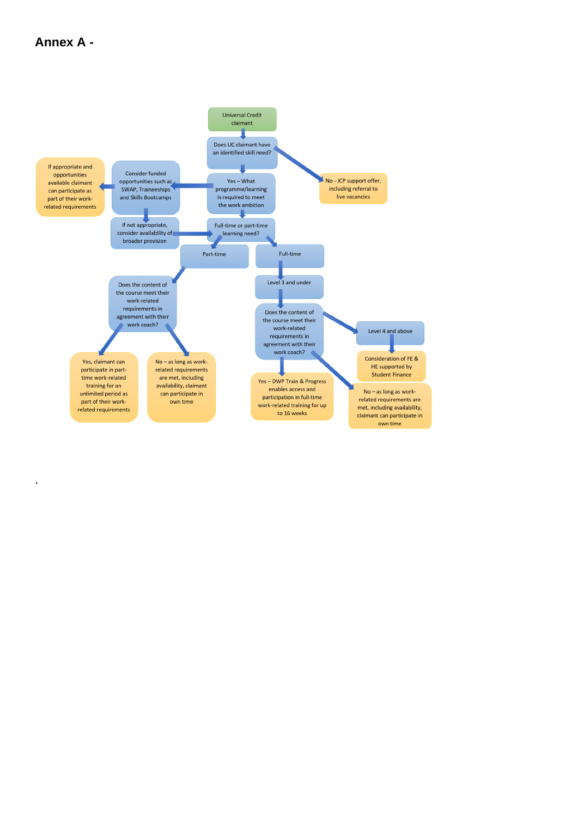## Annex A -

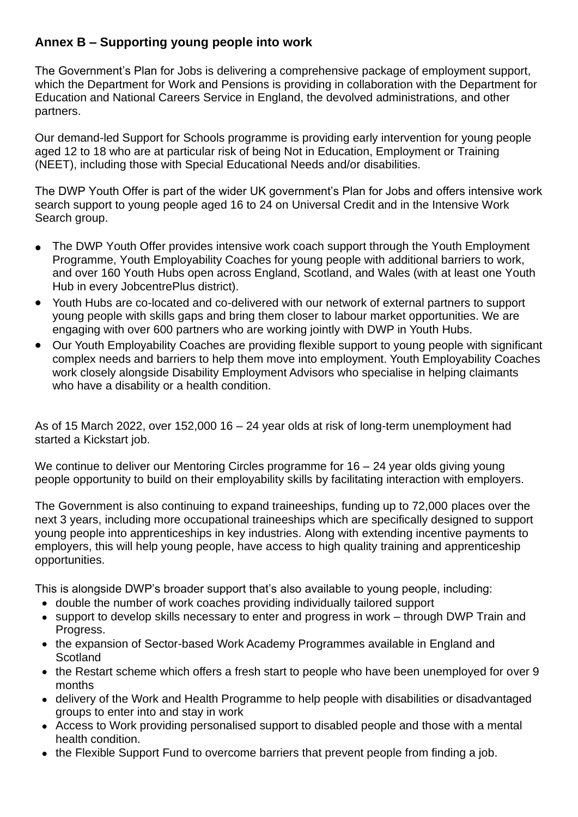# **Annex B – Supporting young people into work**

The Government's Plan for Jobs is delivering a comprehensive package of employment support, which the Department for Work and Pensions is providing in collaboration with the Department for Education and National Careers Service in England, the devolved administrations, and other partners.

Our demand-led Support for Schools programme is providing early intervention for young people aged 12 to 18 who are at particular risk of being Not in Education, Employment or Training (NEET), including those with Special Educational Needs and/or disabilities.

The DWP Youth Offer is part of the wider UK government's Plan for Jobs and offers intensive work search support to young people aged 16 to 24 on Universal Credit and in the Intensive Work Search group.

- The DWP Youth Offer provides intensive work coach support through the Youth Employment Programme, Youth Employability Coaches for young people with additional barriers to work, and over 160 Youth Hubs open across England, Scotland, and Wales (with at least one Youth Hub in every JobcentrePlus district).
- Youth Hubs are co-located and co-delivered with our network of external partners to support young people with skills gaps and bring them closer to labour market opportunities. We are engaging with over 600 partners who are working jointly with DWP in Youth Hubs.
- Our Youth Employability Coaches are providing flexible support to young people with significant complex needs and barriers to help them move into employment. Youth Employability Coaches work closely alongside Disability Employment Advisors who specialise in helping claimants who have a disability or a health condition.

As of 15 March 2022, over 152,000 16 – 24 year olds at risk of long-term unemployment had started a Kickstart job.

We continue to deliver our Mentoring Circles programme for 16 – 24 year olds giving young people opportunity to build on their employability skills by facilitating interaction with employers.

The Government is also continuing to expand traineeships, funding up to 72,000 places over the next 3 years, including more occupational traineeships which are specifically designed to support young people into apprenticeships in key industries. Along with extending incentive payments to employers, this will help young people, have access to high quality training and apprenticeship opportunities.

This is alongside DWP's broader support that's also available to young people, including:

- double the number of work coaches providing individually tailored support
- support to develop skills necessary to enter and progress in work through DWP Train and Progress.
- the expansion of Sector-based Work Academy Programmes available in England and **Scotland**
- the Restart scheme which offers a fresh start to people who have been unemployed for over 9 months
- delivery of the Work and Health Programme to help people with disabilities or disadvantaged groups to enter into and stay in work
- Access to Work providing personalised support to disabled people and those with a mental health condition.
- the Flexible Support Fund to overcome barriers that prevent people from finding a job.